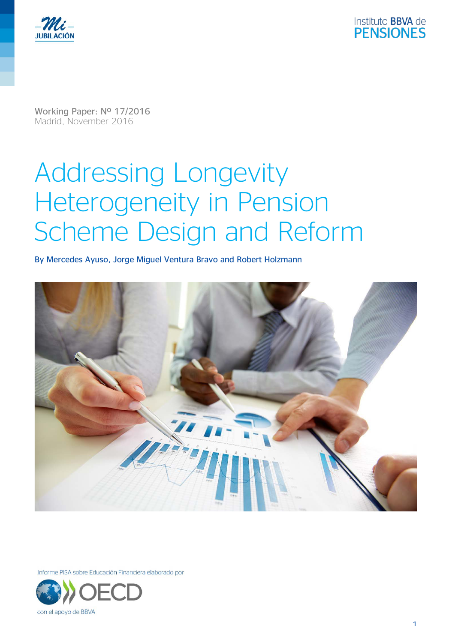



Working Paper: Nº 17/2016 Madrid, November 2016

# Addressing Longevity Heterogeneity in Pension Scheme Design and Reform

By Mercedes Ayuso, Jorge Miguel Ventura Bravo and Robert Holzmann



Informe PISA sobre Educación Financiera elaborado por

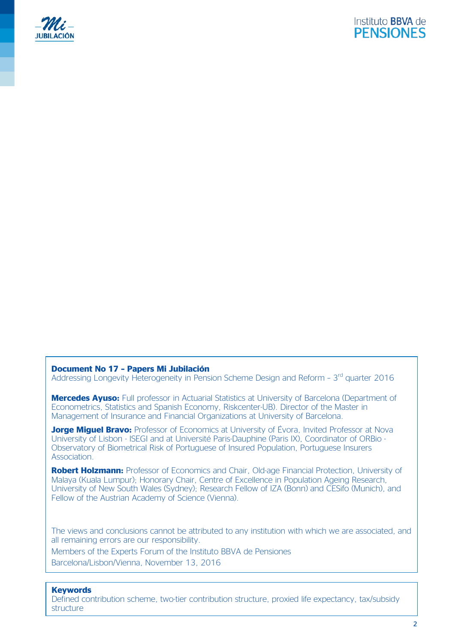



#### **Document No 17 – Papers Mi Jubilación**

Addressing Longevity Heterogeneity in Pension Scheme Design and Reform - 3<sup>rd</sup> quarter 2016

**Mercedes Ayuso:** Full professor in Actuarial Statistics at University of Barcelona (Department of Econometrics, Statistics and Spanish Economy, Riskcenter-UB). Director of the Master in Management of Insurance and Financial Organizations at University of Barcelona.

**Jorge Miguel Bravo:** Professor of Economics at University of Évora, Invited Professor at Nova University of Lisbon - ISEGI and at Université Paris-Dauphine (Paris IX), Coordinator of ORBio - Observatory of Biometrical Risk of Portuguese of Insured Population, Portuguese Insurers Association.

**Robert Holzmann:** Professor of Economics and Chair, Old-age Financial Protection, University of Malaya (Kuala Lumpur); Honorary Chair, Centre of Excellence in Population Ageing Research, University of New South Wales (Sydney); Research Fellow of IZA (Bonn) and CESifo (Munich), and Fellow of the Austrian Academy of Science (Vienna).

The views and conclusions cannot be attributed to any institution with which we are associated, and all remaining errors are our responsibility.

Members of the Experts Forum of the Instituto BBVA de Pensiones Barcelona/Lisbon/Vienna, November 13, 2016

#### **Keywords**

Defined contribution scheme, two-tier contribution structure, proxied life expectancy, tax/subsidy structure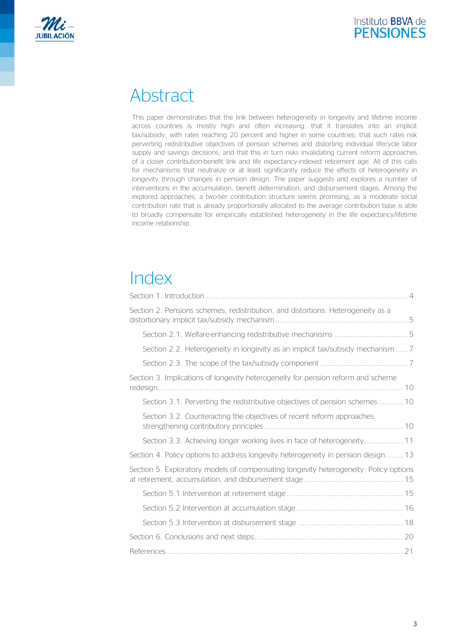



# Abstract

This paper demonstrates that the link between heterogeneity in longevity and lifetime income across countries is mostly high and often increasing; that it translates into an implicit tax/subsidy, with rates reaching 20 percent and higher in some countries; that such rates risk perverting redistributive objectives of pension schemes and distorting individual lifecycle labor supply and savings decisions; and that this in turn risks invalidating current reform approaches of a closer contribution-benefit link and life expectancy-indexed retirement age. All of this calls for mechanisms that neutralize or at least significantly reduce the effects of heterogeneity in longevity through changes in pension design. The paper suggests and explores a number of interventions in the accumulation, benefit determination, and disbursement stages. Among the explored approaches, a two-tier contribution structure seems promising, as a moderate social contribution rate that is already proportionally allocated to the average contribution base is able to broadly compensate for empirically established heterogeneity in the life expectancy/lifetime income relationship.

# Index

| Section 2. Pensions schemes, redistribution, and distortions: Heterogeneity as a       |
|----------------------------------------------------------------------------------------|
|                                                                                        |
| Section 2.2. Heterogeneity in longevity as an implicit tax/subsidy mechanism  7        |
|                                                                                        |
| Section 3. Implications of longevity heterogeneity for pension reform and scheme<br>10 |
| Section 3.1. Perverting the redistributive objectives of pension schemes 10            |
| Section 3.2. Counteracting the objectives of recent reform approaches:                 |
| Section 3.3. Achieving longer working lives in face of heterogeneity 11                |
| Section 4. Policy options to address longevity heterogeneity in pension design 13      |
| Section 5. Exploratory models of compensating longevity heterogeneity: Policy options  |
|                                                                                        |
|                                                                                        |
|                                                                                        |
|                                                                                        |
|                                                                                        |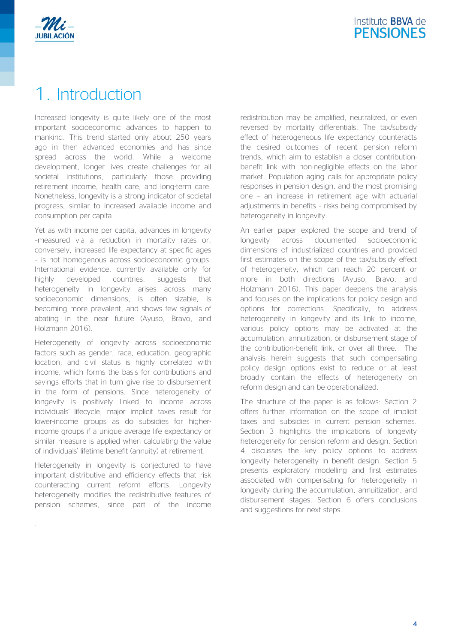

# 1. Introduction

Increased longevity is quite likely one of the most important socioeconomic advances to happen to mankind. This trend started only about 250 years ago in then advanced economies and has since spread across the world. While a welcome development, longer lives create challenges for all societal institutions, particularly those providing retirement income, health care, and long-term care. Nonetheless, longevity is a strong indicator of societal progress, similar to increased available income and consumption per capita.

Yet as with income per capita, advances in longevity –measured via a reduction in mortality rates or, conversely, increased life expectancy at specific ages – is not homogenous across socioeconomic groups. International evidence, currently available only for highly developed countries, suggests that heterogeneity in longevity arises across many socioeconomic dimensions, is often sizable, is becoming more prevalent, and shows few signals of abating in the near future (Ayuso, Bravo, and Holzmann 2016).

Heterogeneity of longevity across socioeconomic factors such as gender, race, education, geographic location, and civil status is highly correlated with income, which forms the basis for contributions and savings efforts that in turn give rise to disbursement in the form of pensions. Since heterogeneity of longevity is positively linked to income across individuals' lifecycle, major implicit taxes result for lower-income groups as do subsidies for higherincome groups if a unique average life expectancy or similar measure is applied when calculating the value of individuals' lifetime benefit (annuity) at retirement.

Heterogeneity in longevity is conjectured to have important distributive and efficiency effects that risk counteracting current reform efforts. Longevity heterogeneity modifies the redistributive features of pension schemes, since part of the income

.

redistribution may be amplified, neutralized, or even reversed by mortality differentials. The tax/subsidy effect of heterogeneous life expectancy counteracts the desired outcomes of recent pension reform trends, which aim to establish a closer contributionbenefit link with non-negligible effects on the labor market. Population aging calls for appropriate policy responses in pension design, and the most promising one – an increase in retirement age with actuarial adjustments in benefits – risks being compromised by heterogeneity in longevity.

An earlier paper explored the scope and trend of longevity across documented socioeconomic dimensions of industrialized countries and provided first estimates on the scope of the tax/subsidy effect of heterogeneity, which can reach 20 percent or more in both directions (Ayuso, Bravo, and Holzmann 2016). This paper deepens the analysis and focuses on the implications for policy design and options for corrections. Specifically, to address heterogeneity in longevity and its link to income, various policy options may be activated at the accumulation, annuitization, or disbursement stage of the contribution-benefit link, or over all three. The analysis herein suggests that such compensating policy design options exist to reduce or at least broadly contain the effects of heterogeneity on reform design and can be operationalized.

The structure of the paper is as follows: Section 2 offers further information on the scope of implicit taxes and subsidies in current pension schemes. Section 3 highlights the implications of longevity heterogeneity for pension reform and design. Section 4 discusses the key policy options to address longevity heterogeneity in benefit design. Section 5 presents exploratory modelling and first estimates associated with compensating for heterogeneity in longevity during the accumulation, annuitization, and disbursement stages. Section 6 offers conclusions and suggestions for next steps.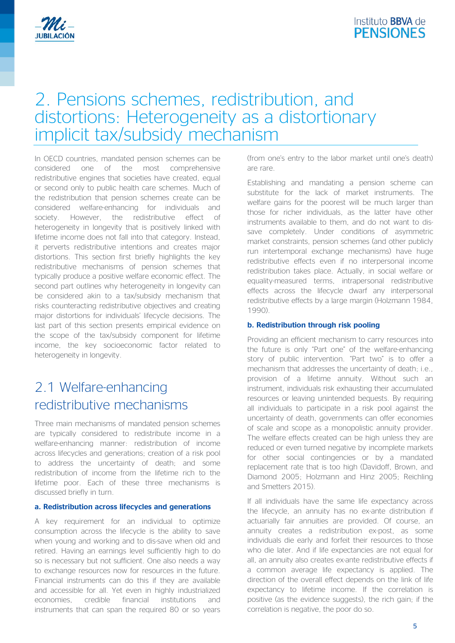

### 2. Pensions schemes, redistribution, and distortions: Heterogeneity as a distortionary implicit tax/subsidy mechanism

In OECD countries, mandated pension schemes can be considered one of the most comprehensive redistributive engines that societies have created, equal or second only to public health care schemes. Much of the redistribution that pension schemes create can be considered welfare-enhancing for individuals and society. However, the redistributive effect of heterogeneity in longevity that is positively linked with lifetime income does not fall into that category. Instead, it perverts redistributive intentions and creates major distortions. This section first briefly highlights the key redistributive mechanisms of pension schemes that typically produce a positive welfare economic effect. The second part outlines why heterogeneity in longevity can be considered akin to a tax/subsidy mechanism that risks counteracting redistributive objectives and creating major distortions for individuals' lifecycle decisions. The last part of this section presents empirical evidence on the scope of the tax/subsidy component for lifetime income, the key socioeconomic factor related to heterogeneity in longevity.

### 2.1 Welfare-enhancing redistributive mechanisms

Three main mechanisms of mandated pension schemes are typically considered to redistribute income in a welfare-enhancing manner: redistribution of income across lifecycles and generations; creation of a risk pool to address the uncertainty of death; and some redistribution of income from the lifetime rich to the lifetime poor. Each of these three mechanisms is discussed briefly in turn.

#### **a. Redistribution across lifecycles and generations**

A key requirement for an individual to optimize consumption across the lifecycle is the ability to save when young and working and to dis-save when old and retired. Having an earnings level sufficiently high to do so is necessary but not sufficient. One also needs a way to exchange resources now for resources in the future. Financial instruments can do this if they are available and accessible for all. Yet even in highly industrialized economies, credible financial institutions and instruments that can span the required 80 or so years

(from one's entry to the labor market until one's death) are rare.

Establishing and mandating a pension scheme can substitute for the lack of market instruments. The welfare gains for the poorest will be much larger than those for richer individuals, as the latter have other instruments available to them, and do not want to dissave completely. Under conditions of asymmetric market constraints, pension schemes (and other publicly run intertemporal exchange mechanisms) have huge redistributive effects even if no interpersonal income redistribution takes place. Actually, in social welfare or equality-measured terms, intrapersonal redistributive effects across the lifecycle dwarf any interpersonal redistributive effects by a large margin (Holzmann 1984, 1990).

#### **b. Redistribution through risk pooling**

Providing an efficient mechanism to carry resources into the future is only "Part one" of the welfare-enhancing story of public intervention. "Part two" is to offer a mechanism that addresses the uncertainty of death; i.e., provision of a lifetime annuity. Without such an instrument, individuals risk exhausting their accumulated resources or leaving unintended bequests. By requiring all individuals to participate in a risk pool against the uncertainty of death, governments can offer economies of scale and scope as a monopolistic annuity provider. The welfare effects created can be high unless they are reduced or even turned negative by incomplete markets for other social contingencies or by a mandated replacement rate that is too high (Davidoff, Brown, and Diamond 2005; Holzmann and Hinz 2005; Reichling and Smetters 2015).

If all individuals have the same life expectancy across the lifecycle, an annuity has no ex-ante distribution if actuarially fair annuities are provided. Of course, an annuity creates a redistribution ex-post, as some individuals die early and forfeit their resources to those who die later. And if life expectancies are not equal for all, an annuity also creates ex-ante redistributive effects if a common average life expectancy is applied. The direction of the overall effect depends on the link of life expectancy to lifetime income. If the correlation is positive (as the evidence suggests), the rich gain; if the correlation is negative, the poor do so.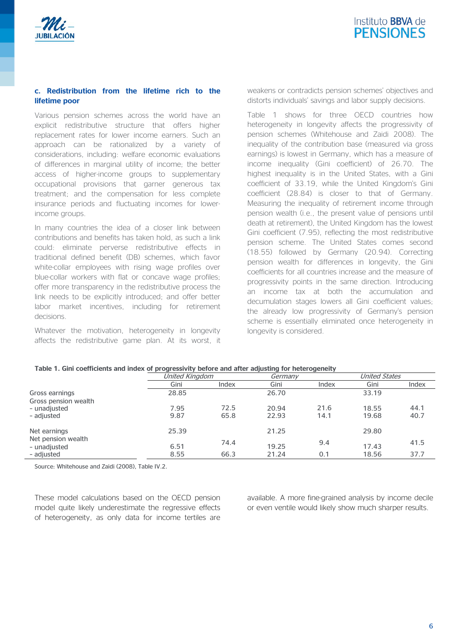

#### **c. Redistribution from the lifetime rich to the lifetime poor**

Various pension schemes across the world have an explicit redistributive structure that offers higher replacement rates for lower income earners. Such an approach can be rationalized by a variety of considerations, including: welfare economic evaluations of differences in marginal utility of income; the better access of higher-income groups to supplementary occupational provisions that garner generous tax treatment; and the compensation for less complete insurance periods and fluctuating incomes for lowerincome groups.

In many countries the idea of a closer link between contributions and benefits has taken hold, as such a link could: eliminate perverse redistributive effects in traditional defined benefit (DB) schemes, which favor white-collar employees with rising wage profiles over blue-collar workers with flat or concave wage profiles; offer more transparency in the redistributive process the link needs to be explicitly introduced; and offer better labor market incentives, including for retirement decisions.

Whatever the motivation, heterogeneity in longevity affects the redistributive game plan. At its worst, it weakens or contradicts pension schemes' objectives and distorts individuals' savings and labor supply decisions.

Table 1 shows for three OECD countries how heterogeneity in longevity affects the progressivity of pension schemes (Whitehouse and Zaidi 2008). The inequality of the contribution base (measured via gross earnings) is lowest in Germany, which has a measure of income inequality (Gini coefficient) of 26.70. The highest inequality is in the United States, with a Gini coefficient of 33.19, while the United Kingdom's Gini coefficient (28.84) is closer to that of Germany. Measuring the inequality of retirement income through pension wealth (i.e., the present value of pensions until death at retirement), the United Kingdom has the lowest Gini coefficient (7.95), reflecting the most redistributive pension scheme. The United States comes second (18.55) followed by Germany (20.94). Correcting pension wealth for differences in longevity, the Gini coefficients for all countries increase and the measure of progressivity points in the same direction. Introducing an income tax at both the accumulation and decumulation stages lowers all Gini coefficient values; the already low progressivity of Germany's pension scheme is essentially eliminated once heterogeneity in longevity is considered.

| Table 1. Gini coefficients and index of progressivity before and after adjusting for heterogeneity |                |         |  |
|----------------------------------------------------------------------------------------------------|----------------|---------|--|
|                                                                                                    | United Kinadom | Cormony |  |

|                                        | United Kingdom |              | Germany        |              | <b>United States</b> |              |
|----------------------------------------|----------------|--------------|----------------|--------------|----------------------|--------------|
|                                        | Gini           | Index        | Gini           | Index        | Gini                 | Index        |
| Gross earnings<br>Gross pension wealth | 28.85          |              | 26.70          |              | 33.19                |              |
| - unadjusted<br>- adjusted             | 7.95<br>9.87   | 72.5<br>65.8 | 20.94<br>22.93 | 21.6<br>14.1 | 18.55<br>19.68       | 44.1<br>40.7 |
| Net earnings                           | 25.39          |              | 21.25          |              | 29.80                |              |
| Net pension wealth<br>- unadjusted     | 6.51           | 74.4         | 19.25          | 9.4          | 17.43                | 41.5         |
| - adiusted                             | 8.55           | 66.3         | 21.24          | 0.1          | 18.56                | 37.7         |

Source: Whitehouse and Zaidi (2008), Table IV.2.

These model calculations based on the OECD pension model quite likely underestimate the regressive effects of heterogeneity, as only data for income tertiles are available. A more fine-grained analysis by income decile or even ventile would likely show much sharper results.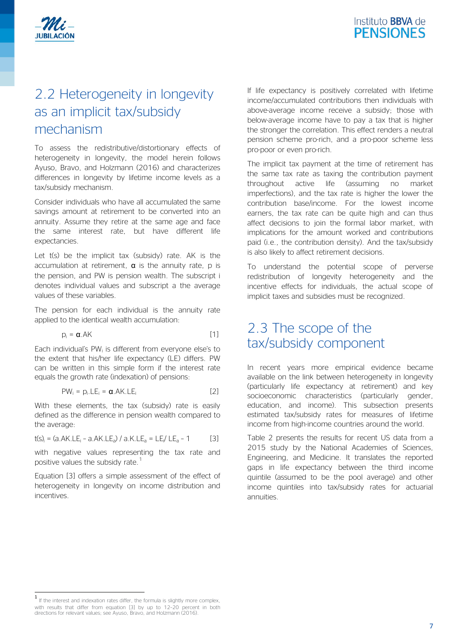

### 2.2 Heterogeneity in longevity as an implicit tax/subsidy mechanism

To assess the redistributive/distortionary effects of heterogeneity in longevity, the model herein follows Ayuso, Bravo, and Holzmann (2016) and characterizes differences in longevity by lifetime income levels as a tax/subsidy mechanism.

Consider individuals who have all accumulated the same savings amount at retirement to be converted into an annuity. Assume they retire at the same age and face the same interest rate, but have different life expectancies.

Let t(s) be the implicit tax (subsidy) rate. AK is the accumulation at retirement,  $\alpha$  is the annuity rate, p is the pension, and PW is pension wealth. The subscript i denotes individual values and subscript a the average values of these variables.

The pension for each individual is the annuity rate applied to the identical wealth accumulation:

$$
p_i = \alpha.AK
$$
 [1]

Each individual's PW<sub>i</sub> is different from everyone else's to the extent that his/her life expectancy (LE) differs. PW can be written in this simple form if the interest rate equals the growth rate (indexation) of pensions:

$$
PW_i = p_i. LE_i = \alpha.AK. LE_i
$$
 [2]

With these elements, the tax (subsidy) rate is easily defined as the difference in pension wealth compared to the average:

$$
t(s)
$$
<sub>i</sub> = (a.AK.LE<sub>i</sub> - a.AK.LE<sub>a</sub>) / a.K.LE<sub>a</sub> = LE/ LE<sub>a</sub> - 1 [3]

with negative values representing the tax rate and positive values the subsidy rate.<sup>[1](#page-6-0)</sup>

Equation [3] offers a simple assessment of the effect of heterogeneity in longevity on income distribution and incentives.

If life expectancy is positively correlated with lifetime income/accumulated contributions then individuals with above-average income receive a subsidy; those with below-average income have to pay a tax that is higher the stronger the correlation. This effect renders a neutral pension scheme pro-rich, and a pro-poor scheme less pro-poor or even pro-rich.

The implicit tax payment at the time of retirement has the same tax rate as taxing the contribution payment throughout active life (assuming no market imperfections), and the tax rate is higher the lower the contribution base/income. For the lowest income earners, the tax rate can be quite high and can thus affect decisions to join the formal labor market, with implications for the amount worked and contributions paid (i.e., the contribution density). And the tax/subsidy is also likely to affect retirement decisions.

To understand the potential scope of perverse redistribution of longevity heterogeneity and the incentive effects for individuals, the actual scope of implicit taxes and subsidies must be recognized.

### 2.3 The scope of the tax/subsidy component

In recent years more empirical evidence became available on the link between heterogeneity in longevity (particularly life expectancy at retirement) and key socioeconomic characteristics (particularly gender, education, and income). This subsection presents estimated tax/subsidy rates for measures of lifetime income from high-income countries around the world.

[Table 2](#page-7-0) presents the results for recent US data from a 2015 study by the National Academies of Sciences, Engineering, and Medicine. It translates the reported gaps in life expectancy between the third income quintile (assumed to be the pool average) and other income quintiles into tax/subsidy rates for actuarial annuities.

<span id="page-6-0"></span>If the interest and indexation rates differ, the formula is slightly more complex, with results that differ from equation [3] by up to 12–20 percent in both directions for relevant values; see Ayuso, Bravo, and Holzmann (2016).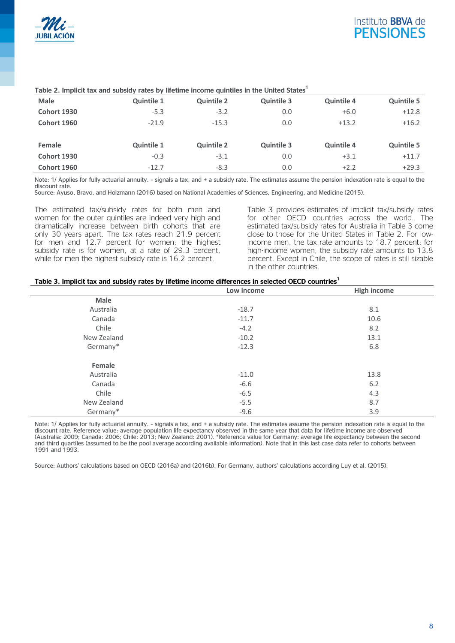

| <b>Male</b>        | <b>Quintile 1</b> | <b>Quintile 2</b> | <b>Quintile 3</b> | <b>Quintile 4</b> | <b>Quintile 5</b> |
|--------------------|-------------------|-------------------|-------------------|-------------------|-------------------|
| <b>Cohort 1930</b> | $-5.3$            | $-3.2$            | 0.0               | $+6.0$            | $+12.8$           |
| Cohort 1960        | $-21.9$           | $-15.3$           | 0.0               | $+13.2$           | $+16.2$           |
|                    |                   |                   |                   |                   |                   |
| Female             | <b>Quintile 1</b> | <b>Quintile 2</b> | <b>Quintile 3</b> | <b>Quintile 4</b> | <b>Quintile 5</b> |
| <b>Cohort 1930</b> | $-0.3$            | $-3.1$            | 0.0               | $+3.1$            | $+11.7$           |
| Cohort 1960        | $-12.7$           | $-8.3$            | 0.0               | $+2.2$            | $+29.3$           |

#### <span id="page-7-0"></span>**Table 2. Implicit tax and subsidy rates by lifetime income quintiles in the United States1**

Note: 1/ Applies for fully actuarial annuity. – signals a tax, and + a subsidy rate. The estimates assume the pension indexation rate is equal to the discount rate.

Source: Ayuso, Bravo, and Holzmann (2016) based on National Academies of Sciences, Engineering, and Medicine (2015).

The estimated tax/subsidy rates for both men and women for the outer quintiles are indeed very high and dramatically increase between birth cohorts that are only 30 years apart. The tax rates reach 21.9 percent for men and 12.7 percent for women; the highest subsidy rate is for women, at a rate of 29.3 percent, while for men the highest subsidy rate is 16.2 percent.

[Table 3](#page-7-1) provides estimates of implicit tax/subsidy rates for other OECD countries across the world. The estimated tax/subsidy rates for Australia in [Table 3](#page-7-1) come close to those for the United States in [Table 2.](#page-7-0) For lowincome men, the tax rate amounts to 18.7 percent; for high-income women, the subsidy rate amounts to 13.8 percent. Except in Chile, the scope of rates is still sizable in the other countries.

#### <span id="page-7-1"></span>**Table 3. Implicit tax and subsidy rates by lifetime income differences in selected OECD countries1**

|             | Low income | <b>High income</b> |
|-------------|------------|--------------------|
| Male        |            |                    |
| Australia   | $-18.7$    | 8.1                |
| Canada      | $-11.7$    | 10.6               |
| Chile       | $-4.2$     | 8.2                |
| New Zealand | $-10.2$    | 13.1               |
| Germany*    | $-12.3$    | 6.8                |
| Female      |            |                    |
| Australia   | $-11.0$    | 13.8               |
| Canada      | $-6.6$     | 6.2                |
| Chile       | $-6.5$     | 4.3                |
| New Zealand | $-5.5$     | 8.7                |
| Germany*    | $-9.6$     | 3.9                |

Note: 1/ Applies for fully actuarial annuity. – signals a tax, and + a subsidy rate. The estimates assume the pension indexation rate is equal to the discount rate. Reference value: average population life expectancy observed in the same year that data for lifetime income are observed (Australia: 2009; Canada: 2006; Chile: 2013; New Zealand: 2001). \*Reference value for Germany: average life expectancy between the second and third quartiles (assumed to be the pool average according available information). Note that in this last case data refer to cohorts between 1991 and 1993.

Source: Authors' calculations based on OECD (2016a) and (2016b). For Germany, authors' calculations according Luy et al. (2015).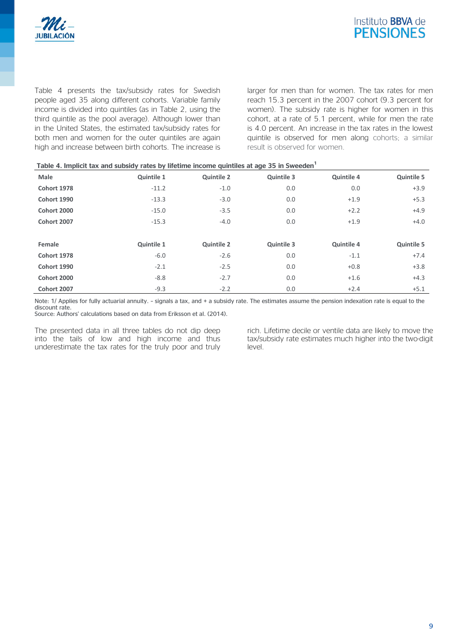

[Table 4](#page-8-0) presents the tax/subsidy rates for Swedish people aged 35 along different cohorts. Variable family income is divided into quintiles (as in [Table 2,](#page-7-0) using the third quintile as the pool average). Although lower than in the United States, the estimated tax/subsidy rates for both men and women for the outer quintiles are again high and increase between birth cohorts. The increase is larger for men than for women. The tax rates for men reach 15.3 percent in the 2007 cohort (9.3 percent for women). The subsidy rate is higher for women in this cohort, at a rate of 5.1 percent, while for men the rate is 4.0 percent. An increase in the tax rates in the lowest quintile is observed for men along cohorts; a similar result is observed for women.

<span id="page-8-0"></span>

| Table 4. Implicit tax and subsidy rates by lifetime income quintiles at age 35 in Sweeden <sup>1</sup> |                   |                   |                   |                   |                   |
|--------------------------------------------------------------------------------------------------------|-------------------|-------------------|-------------------|-------------------|-------------------|
| Male                                                                                                   | Quintile 1        | <b>Quintile 2</b> | <b>Quintile 3</b> | <b>Quintile 4</b> | <b>Quintile 5</b> |
| <b>Cohort 1978</b>                                                                                     | $-11.2$           | $-1.0$            | 0.0               | 0.0               | $+3.9$            |
| Cohort 1990                                                                                            | $-13.3$           | $-3.0$            | 0.0               | $+1.9$            | $+5.3$            |
| Cohort 2000                                                                                            | $-15.0$           | $-3.5$            | 0.0               | $+2.2$            | $+4.9$            |
| Cohort 2007                                                                                            | $-15.3$           | $-4.0$            | 0.0               | $+1.9$            | $+4.0$            |
|                                                                                                        |                   |                   |                   |                   |                   |
| Female                                                                                                 | <b>Quintile 1</b> | <b>Quintile 2</b> | <b>Quintile 3</b> | <b>Quintile 4</b> | <b>Quintile 5</b> |
| <b>Cohort 1978</b>                                                                                     | $-6.0$            | $-2.6$            | 0.0               | $-1.1$            | $+7.4$            |
| Cohort 1990                                                                                            | $-2.1$            | $-2.5$            | 0.0               | $+0.8$            | $+3.8$            |
| Cohort 2000                                                                                            | $-8.8$            | $-2.7$            | 0.0               | $+1.6$            | $+4.3$            |
| Cohort 2007                                                                                            | $-9.3$            | $-2.2$            | 0.0               | $+2.4$            | $+5.1$            |

Note: 1/ Applies for fully actuarial annuity. – signals a tax, and + a subsidy rate. The estimates assume the pension indexation rate is equal to the discount rate.

Source: Authors' calculations based on data from Eriksson et al. (2014).

The presented data in all three tables do not dip deep into the tails of low and high income and thus underestimate the tax rates for the truly poor and truly rich. Lifetime decile or ventile data are likely to move the tax/subsidy rate estimates much higher into the two-digit level.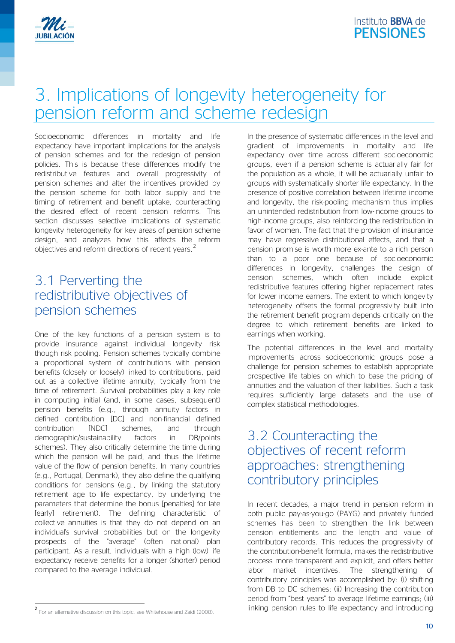

# 3. Implications of longevity heterogeneity for pension reform and scheme redesign

Socioeconomic differences in mortality and life expectancy have important implications for the analysis of pension schemes and for the redesign of pension policies. This is because these differences modify the redistributive features and overall progressivity of pension schemes and alter the incentives provided by the pension scheme for both labor supply and the timing of retirement and benefit uptake, counteracting the desired effect of recent pension reforms. This section discusses selective implications of systematic longevity heterogeneity for key areas of pension scheme design, and analyzes how this affects the reform objectives and reform directions of recent years.<sup>[2](#page-9-0)</sup>

### 3.1 Perverting the redistributive objectives of pension schemes

One of the key functions of a pension system is to provide insurance against individual longevity risk though risk pooling. Pension schemes typically combine a proportional system of contributions with pension benefits (closely or loosely) linked to contributions, paid out as a collective lifetime annuity, typically from the time of retirement. Survival probabilities play a key role in computing initial (and, in some cases, subsequent) pension benefits (e.g., through annuity factors in defined contribution [DC] and non-financial defined contribution [NDC] schemes, and through demographic/sustainability factors in DB/points schemes). They also critically determine the time during which the pension will be paid, and thus the lifetime value of the flow of pension benefits. In many countries (e.g., Portugal, Denmark), they also define the qualifying conditions for pensions (e.g., by linking the statutory retirement age to life expectancy, by underlying the parameters that determine the bonus [penalties] for late [early] retirement). The defining characteristic of collective annuities is that they do not depend on an individual's survival probabilities but on the longevity prospects of the "average" (often national) plan participant. As a result, individuals with a high (low) life expectancy receive benefits for a longer (shorter) period compared to the average individual.

In the presence of systematic differences in the level and gradient of improvements in mortality and life expectancy over time across different socioeconomic groups, even if a pension scheme is actuarially fair for the population as a whole, it will be actuarially unfair to groups with systematically shorter life expectancy. In the presence of positive correlation between lifetime income and longevity, the risk-pooling mechanism thus implies an unintended redistribution from low-income groups to high-income groups, also reinforcing the redistribution in favor of women. The fact that the provision of insurance may have regressive distributional effects, and that a pension promise is worth more ex-ante to a rich person than to a poor one because of socioeconomic differences in longevity, challenges the design of pension schemes, which often include explicit redistributive features offering higher replacement rates for lower income earners. The extent to which longevity heterogeneity offsets the formal progressivity built into the retirement benefit program depends critically on the degree to which retirement benefits are linked to earnings when working.

The potential differences in the level and mortality improvements across socioeconomic groups pose a challenge for pension schemes to establish appropriate prospective life tables on which to base the pricing of annuities and the valuation of their liabilities. Such a task requires sufficiently large datasets and the use of complex statistical methodologies.

### 3.2 Counteracting the objectives of recent reform approaches: strengthening contributory principles

In recent decades, a major trend in pension reform in both public pay-as-you-go (PAYG) and privately funded schemes has been to strengthen the link between pension entitlements and the length and value of contributory records. This reduces the progressivity of the contribution-benefit formula, makes the redistributive process more transparent and explicit, and offers better labor market incentives. The strengthening of contributory principles was accomplished by: (i) shifting from DB to DC schemes; (ii) Increasing the contribution period from "best years" to average lifetime earnings; (iii) linking pension rules to life expectancy and introducing

<span id="page-9-0"></span><sup>2</sup> For an alternative discussion on this topic, see Whitehouse and Zaidi (2008).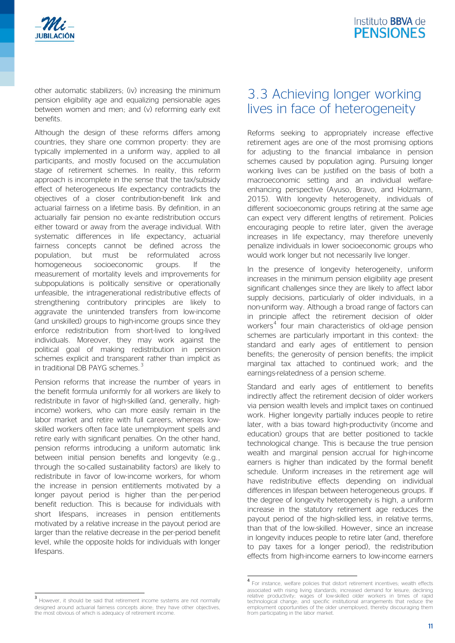

other automatic stabilizers; (iv) increasing the minimum pension eligibility age and equalizing pensionable ages between women and men; and (v) reforming early exit benefits.

Although the design of these reforms differs among countries, they share one common property: they are typically implemented in a uniform way, applied to all participants, and mostly focused on the accumulation stage of retirement schemes. In reality, this reform approach is incomplete in the sense that the tax/subsidy effect of heterogeneous life expectancy contradicts the objectives of a closer contribution-benefit link and actuarial fairness on a lifetime basis. By definition, in an actuarially fair pension no ex-ante redistribution occurs either toward or away from the average individual. With systematic differences in life expectancy, actuarial fairness concepts cannot be defined across the population, but must be reformulated across homogeneous socioeconomic groups. If the measurement of mortality levels and improvements for subpopulations is politically sensitive or operationally unfeasible, the intragenerational redistributive effects of strengthening contributory principles are likely to aggravate the unintended transfers from low-income (and unskilled) groups to high-income groups since they enforce redistribution from short-lived to long-lived individuals. Moreover, they may work against the political goal of making redistribution in pension schemes explicit and transparent rather than implicit as in traditional DB PAYG schemes.<sup>[3](#page-10-0)</sup>

Pension reforms that increase the number of years in the benefit formula uniformly for all workers are likely to redistribute in favor of high-skilled (and, generally, highincome) workers, who can more easily remain in the labor market and retire with full careers, whereas lowskilled workers often face late unemployment spells and retire early with significant penalties. On the other hand, pension reforms introducing a uniform automatic link between initial pension benefits and longevity (e.g., through the so-called sustainability factors) are likely to redistribute in favor of low-income workers, for whom the increase in pension entitlements motivated by a longer payout period is higher than the per-period benefit reduction. This is because for individuals with short lifespans, increases in pension entitlements motivated by a relative increase in the payout period are larger than the relative decrease in the per-period benefit level, while the opposite holds for individuals with longer lifespans.

### 3.3 Achieving longer working lives in face of heterogeneity

Reforms seeking to appropriately increase effective retirement ages are one of the most promising options for adjusting to the financial imbalance in pension schemes caused by population aging. Pursuing longer working lives can be justified on the basis of both a macroeconomic setting and an individual welfareenhancing perspective (Ayuso, Bravo, and Holzmann, 2015). With longevity heterogeneity, individuals of different socioeconomic groups retiring at the same age can expect very different lengths of retirement. Policies encouraging people to retire later, given the average increases in life expectancy, may therefore unevenly penalize individuals in lower socioeconomic groups who would work longer but not necessarily live longer.

In the presence of longevity heterogeneity, uniform increases in the minimum pension eligibility age present significant challenges since they are likely to affect labor supply decisions, particularly of older individuals, in a non-uniform way. Although a broad range of factors can in principle affect the retirement decision of older workers<sup>[4](#page-10-1)</sup> four main characteristics of old-age pension schemes are particularly important in this context: the standard and early ages of entitlement to pension benefits; the generosity of pension benefits; the implicit marginal tax attached to continued work; and the earnings-relatedness of a pension scheme.

Standard and early ages of entitlement to benefits indirectly affect the retirement decision of older workers via pension wealth levels and implicit taxes on continued work. Higher longevity partially induces people to retire later, with a bias toward high-productivity (income and education) groups that are better positioned to tackle technological change. This is because the true pension wealth and marginal pension accrual for high-income earners is higher than indicated by the formal benefit schedule. Uniform increases in the retirement age will have redistributive effects depending on individual differences in lifespan between heterogeneous groups. If the degree of longevity heterogeneity is high, a uniform increase in the statutory retirement age reduces the payout period of the high-skilled less, in relative terms, than that of the low-skilled. However, since an increase in longevity induces people to retire later (and, therefore to pay taxes for a longer period), the redistribution effects from high-income earners to low-income earners

<sup>4</sup> For instance, welfare policies that distort retirement incentives; wealth effects associated with rising living standards; increased demand for leisure; declining relative productivity; wages of low-skilled older workers in times of rapid technological change; and specific institutional arrangements that reduce the employment opportunities of the older unemployed, thereby discouraging them from participating in the labor market.

<span id="page-10-1"></span><span id="page-10-0"></span>However, it should be said that retirement income systems are not normally designed around actuarial fairness concepts alone; they have other objectives, the most obvious of which is adequacy of retirement income.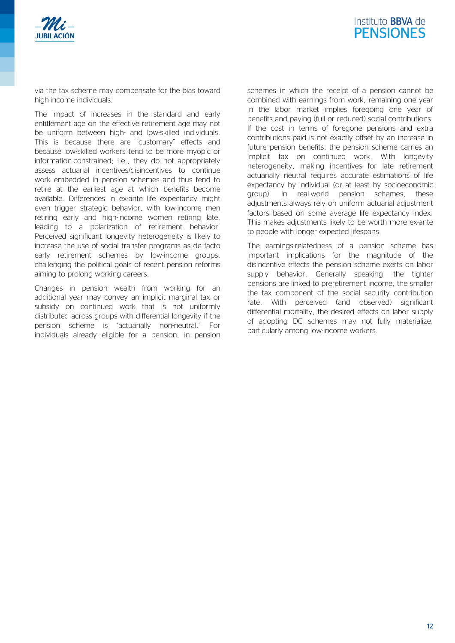



via the tax scheme may compensate for the bias toward high-income individuals.

The impact of increases in the standard and early entitlement age on the effective retirement age may not be uniform between high- and low-skilled individuals. This is because there are "customary" effects and because low-skilled workers tend to be more myopic or information-constrained; i.e., they do not appropriately assess actuarial incentives/disincentives to continue work embedded in pension schemes and thus tend to retire at the earliest age at which benefits become available. Differences in ex-ante life expectancy might even trigger strategic behavior, with low-income men retiring early and high-income women retiring late, leading to a polarization of retirement behavior. Perceived significant longevity heterogeneity is likely to increase the use of social transfer programs as de facto early retirement schemes by low-income groups, challenging the political goals of recent pension reforms aiming to prolong working careers.

Changes in pension wealth from working for an additional year may convey an implicit marginal tax or subsidy on continued work that is not uniformly distributed across groups with differential longevity if the pension scheme is "actuarially non-neutral." For individuals already eligible for a pension, in pension

schemes in which the receipt of a pension cannot be combined with earnings from work, remaining one year in the labor market implies foregoing one year of benefits and paying (full or reduced) social contributions. If the cost in terms of foregone pensions and extra contributions paid is not exactly offset by an increase in future pension benefits, the pension scheme carries an implicit tax on continued work. With longevity heterogeneity, making incentives for late retirement actuarially neutral requires accurate estimations of life expectancy by individual (or at least by socioeconomic group). In real-world pension schemes, these adjustments always rely on uniform actuarial adjustment factors based on some average life expectancy index. This makes adjustments likely to be worth more ex-ante to people with longer expected lifespans.

The earnings-relatedness of a pension scheme has important implications for the magnitude of the disincentive effects the pension scheme exerts on labor supply behavior. Generally speaking, the tighter pensions are linked to preretirement income, the smaller the tax component of the social security contribution rate. With perceived (and observed) significant differential mortality, the desired effects on labor supply of adopting DC schemes may not fully materialize, particularly among low-income workers.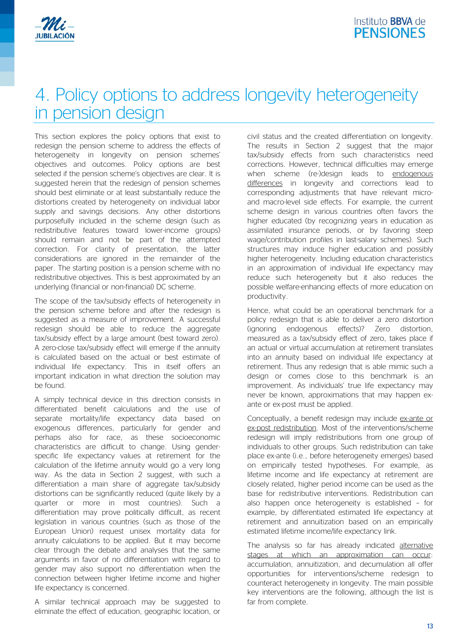

# 4. Policy options to address longevity heterogeneity in pension design

This section explores the policy options that exist to redesign the pension scheme to address the effects of heterogeneity in longevity on pension schemes' objectives and outcomes. Policy options are best selected if the pension scheme's objectives are clear. It is suggested herein that the redesign of pension schemes should best eliminate or at least substantially reduce the distortions created by heterogeneity on individual labor supply and savings decisions. Any other distortions purposefully included in the scheme design (such as redistributive features toward lower-income groups) should remain and not be part of the attempted correction. For clarity of presentation, the latter considerations are ignored in the remainder of the paper. The starting position is a pension scheme with no redistributive objectives. This is best approximated by an underlying (financial or non-financial) DC scheme.

The scope of the tax/subsidy effects of heterogeneity in the pension scheme before and after the redesign is suggested as a measure of improvement. A successful redesign should be able to reduce the aggregate tax/subsidy effect by a large amount (best toward zero). A zero-close tax/subsidy effect will emerge if the annuity is calculated based on the actual or best estimate of individual life expectancy. This in itself offers an important indication in what direction the solution may be found.

A simply technical device in this direction consists in differentiated benefit calculations and the use of separate mortality/life expectancy data based on exogenous differences, particularly for gender and perhaps also for race, as these socioeconomic characteristics are difficult to change. Using genderspecific life expectancy values at retirement for the calculation of the lifetime annuity would go a very long way. As the data in Section 2 suggest, with such a differentiation a main share of aggregate tax/subsidy distortions can be significantly reduced (quite likely by a quarter or more in most countries). Such a differentiation may prove politically difficult, as recent legislation in various countries (such as those of the European Union) request unisex mortality data for annuity calculations to be applied. But it may become clear through the debate and analyses that the same arguments in favor of no differentiation with regard to gender may also support no differentiation when the connection between higher lifetime income and higher life expectancy is concerned.

A similar technical approach may be suggested to eliminate the effect of education, geographic location, or civil status and the created differentiation on longevity. The results in Section 2 suggest that the major tax/subsidy effects from such characteristics need corrections. However, technical difficulties may emerge when scheme (re-)design leads to endogenous differences in longevity and corrections lead to corresponding adjustments that have relevant microand macro-level side effects. For example, the current scheme design in various countries often favors the higher educated (by recognizing years in education as assimilated insurance periods, or by favoring steep wage/contribution profiles in last-salary schemes). Such structures may induce higher education and possibly higher heterogeneity. Including education characteristics in an approximation of individual life expectancy may reduce such heterogeneity but it also reduces the possible welfare-enhancing effects of more education on productivity.

Hence, what could be an operational benchmark for a policy redesign that is able to deliver a zero distortion (ignoring endogenous effects)? Zero distortion, measured as a tax/subsidy effect of zero, takes place if an actual or virtual accumulation at retirement translates into an annuity based on individual life expectancy at retirement. Thus any redesign that is able mimic such a design or comes close to this benchmark is an improvement. As individuals' true life expectancy may never be known, approximations that may happen exante or ex-post must be applied.

Conceptually, a benefit redesign may include ex-ante or ex-post redistribution. Most of the interventions/scheme redesign will imply redistributions from one group of individuals to other groups. Such redistribution can take place ex-ante (i.e., before heterogeneity emerges) based on empirically tested hypotheses. For example, as lifetime income and life expectancy at retirement are closely related, higher period income can be used as the base for redistributive interventions. Redistribution can also happen once heterogeneity is established – for example, by differentiated estimated life expectancy at retirement and annuitization based on an empirically estimated lifetime income/life expectancy link.

The analysis so far has already indicated alternative stages at which an approximation can occur: accumulation, annuitization, and decumulation all offer opportunities for interventions/scheme redesign to counteract heterogeneity in longevity. The main possible key interventions are the following, although the list is far from complete.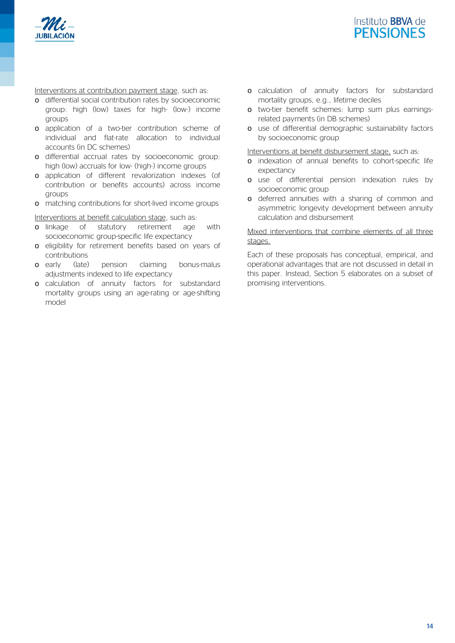



Interventions at contribution payment stage, such as:

- o differential social contribution rates by socioeconomic group: high (low) taxes for high- (low-) income groups
- o application of a two-tier contribution scheme of individual and flat-rate allocation to individual accounts (in DC schemes)
- o differential accrual rates by socioeconomic group: high (low) accruals for low- (high-) income groups
- o application of different revalorization indexes (of contribution or benefits accounts) across income groups
- o matching contributions for short-lived income groups

Interventions at benefit calculation stage, such as:

- o linkage of statutory retirement age with socioeconomic group-specific life expectancy
- o eligibility for retirement benefits based on years of contributions
- o early (late) pension claiming bonus-malus adjustments indexed to life expectancy
- o calculation of annuity factors for substandard mortality groups using an age-rating or age-shifting model
- o calculation of annuity factors for substandard mortality groups, e.g., lifetime deciles
- o two-tier benefit schemes: lump sum plus earningsrelated payments (in DB schemes)
- o use of differential demographic sustainability factors by socioeconomic group

Interventions at benefit disbursement stage, such as:

- o indexation of annual benefits to cohort-specific life expectancy
- o use of differential pension indexation rules by socioeconomic group
- o deferred annuities with a sharing of common and asymmetric longevity development between annuity calculation and disbursement

#### Mixed interventions that combine elements of all three stages.

Each of these proposals has conceptual, empirical, and operational advantages that are not discussed in detail in this paper. Instead, Section 5 elaborates on a subset of promising interventions.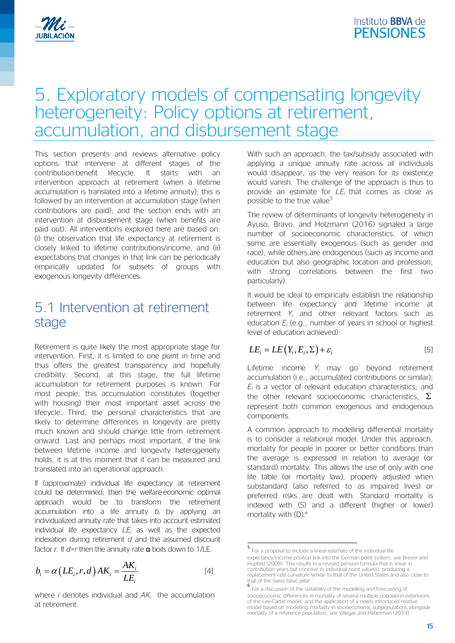

## 5. Exploratory models of compensating longevity heterogeneity: Policy options at retirement, accumulation, and disbursement stage

This section presents and reviews alternative policy options that intervene at different stages of the contribution-benefit lifecycle. It starts with an intervention approach at retirement (when a lifetime accumulation is translated into a lifetime annuity); this is followed by an intervention at accumulation stage (when contributions are paid); and the section ends with an intervention at disbursement stage (when benefits are paid out). All interventions explored here are based on: (i) the observation that life expectancy at retirement is closely linked to lifetime contributions/income, and (ii) expectations that changes in that link can be periodically empirically updated for subsets of groups with exogenous longevity differences.

### 5.1 Intervention at retirement stage

Retirement is quite likely the most appropriate stage for intervention. First, it is limited to one point in time and thus offers the greatest transparency and hopefully credibility. Second, at this stage, the full lifetime accumulation for retirement purposes is known. For most people, this accumulation constitutes (together with housing) their most important asset across the lifecycle. Third, the personal characteristics that are likely to determine differences in longevity are pretty much known and should change little from retirement onward. Last and perhaps most important, if the link between lifetime income and longevity heterogeneity holds, it is at this moment that it can be measured and translated into an operational approach.

If (approximate) individual life expectancy at retirement could be determined, then the welfare-economic optimal approach would be to transform the retirement accumulation into a life annuity *bi* by applying an individualized annuity rate that takes into account estimated individual life expectancy *LEi* as well as the expected indexation during retirement *d* and the assumed discount factor *r*. If *d=r* then the annuity rate α boils down to 1/LE.

<span id="page-14-0"></span>
$$
b_i = \alpha \left( LE_i, r, d \right) AK_i = \frac{AK_i}{LE_i}
$$
 [4]

<span id="page-14-1"></span>where *i* denotes individual and *AKi* the accumulation at retirement.

With such an approach, the tax/subsidy associated with applying a unique annuity rate across all individuals would disappear, as the very reason for its existence would vanish. The challenge of the approach is thus to provide an estimate for *LEi* that comes as close as possible to the true value<sup>[5](#page-14-0)</sup>

The review of determinants of longevity heterogeneity in Ayuso, Bravo, and Holzmann (2016) signaled a large number of socioeconomic characteristics, of which some are essentially exogenous (such as gender and race), while others are endogenous (such as income and education but also geographic location and profession, with strong correlations between the first two particularly).

It would be ideal to empirically establish the relationship between life expectancy and lifetime income at retirement *Yi* and other relevant factors such as education *Ei* (e.g., number of years in school or highest level of education achieved):

$$
LE_i = LE(Y_i, E_i, \Sigma) + \varepsilon_i
$$
 [5]

Lifetime income *Yi* may go beyond retirement accumulation (i.e., accumulated contributions or similar); *Ei* is a vector of relevant education characteristics; and the other relevant socioeconomic characteristics,  $\Sigma$ represent both common exogenous and endogenous components.

A common approach to modelling differential mortality is to consider a relational model. Under this approach, mortality for people in poorer or better conditions than the average is expressed in relation to average (or standard) mortality. This allows the use of only with one life table (or mortality law), properly adjusted when substandard (also referred to as impaired lives) or preferred risks are dealt with. Standard mortality is indexed with (S) and a different (higher or lower) mortality with (D).<sup>[6](#page-14-1)</sup>

<sup>5</sup> For a proposal to include a linear estimate of the individual life expectancy/income position link into the German point system, see Breyer and Hupfeld (2009). This results in a revised pension formula that is linear in contribution years but concave in individual point value(s), producing a replacement rate curvature similar to that of the United States and also close to  $t$  that of the Swiss basic pillar.<br>  $\frac{6}{5}$ 

For a discussion of the suitability of the modelling and forecasting of socioeconomic differences in mortality of several multiple population extensions of the Lee-Carter model, and the application of a newly introduced relative model based on modelling mortality in socioeconomic subpopulations alongside mortality of a reference population, see Villegas and Haberman (2014).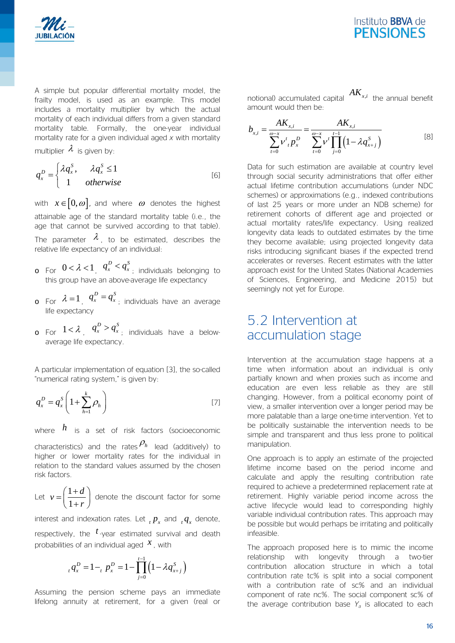



A simple but popular differential mortality model, the frailty model, is used as an example. This model includes a mortality multiplier by which the actual mortality of each individual differs from a given standard mortality table. Formally, the one-year individual mortality rate for a given individual aged *x* with mortality

multiplier  $\lambda$  is given by:

$$
q_x^D = \begin{cases} \lambda q_x^S, & \lambda q_x^S \le 1\\ 1 & \text{otherwise} \end{cases} \tag{6}
$$

with  $x \in [0, \omega]$ , and where  $\omega$  denotes the highest attainable age of the standard mortality table (i.e., the age that cannot be survived according to that table). The parameter  $\lambda$ , to be estimated, describes the relative life expectancy of an individual:

- $\circ$  For  $0 < \lambda < 1$ ,  $q_x^D < q_x^S$ , individuals belonging to this group have an above-average life expectancy
- $\sigma$  For  $\lambda = 1$ ,  $q_x^D = q_{x_i}^S$  individuals have an average life expectancy
- $\sigma$  For  $1 < \lambda$  ,  $q_x^D > q_x^S$  ; individuals have a belowaverage life expectancy.

A particular implementation of equation [3], the so-called "numerical rating system," is given by:

$$
q_x^D = q_x^S \left( 1 + \sum_{h=1}^k \rho_h \right) \tag{7}
$$

where *h* is a set of risk factors (socioeconomic

characteristics) and the rates  $P_h$  lead (additively) to higher or lower mortality rates for the individual in relation to the standard values assumed by the chosen risk factors.

Let 
$$
v = \left(\frac{1+d}{1+r}\right)
$$
 denote the discount factor for some

interest and indexation rates. Let  ${}_t p_x$  and  ${}_t q_x$  denote,

respectively, the *t* -year estimated survival and death probabilities of an individual aged  $x$ , with

$$
_t q_x^D = 1 - _t p_x^D = 1 - \prod_{j=0}^{t-1} (1 - \lambda q_{x+j}^S)
$$

Assuming the pension scheme pays an immediate lifelong annuity at retirement, for a given (real or notional) accumulated capital  $AK_{x,i}$  the annual benefit amount would then be:

$$
b_{x,i} = \frac{AK_{x,i}}{\sum_{t=0}^{\omega-x} \nu^t{}_t p_x^D} = \frac{AK_{x,i}}{\sum_{t=0}^{\omega-x} \nu^t \prod_{j=0}^{t-1} (1 - \lambda q_{x+j}^S)}
$$
 [8]

Data for such estimation are available at country level through social security administrations that offer either actual lifetime contribution accumulations (under NDC schemes) or approximations (e.g., indexed contributions of last 25 years or more under an NDB scheme) for retirement cohorts of different age and projected or actual mortality rates/life expectancy. Using realized longevity data leads to outdated estimates by the time they become available; using projected longevity data risks introducing significant biases if the expected trend accelerates or reverses. Recent estimates with the latter approach exist for the United States (National Academies of Sciences, Engineering, and Medicine 2015) but seemingly not yet for Europe.

### 5.2 Intervention at accumulation stage

Intervention at the accumulation stage happens at a time when information about an individual is only partially known and when proxies such as income and education are even less reliable as they are still changing. However, from a political economy point of view, a smaller intervention over a longer period may be more palatable than a large one-time intervention. Yet to be politically sustainable the intervention needs to be simple and transparent and thus less prone to political manipulation.

One approach is to apply an estimate of the projected lifetime income based on the period income and calculate and apply the resulting contribution rate required to achieve a predetermined replacement rate at retirement. Highly variable period income across the active lifecycle would lead to corresponding highly variable individual contribution rates. This approach may be possible but would perhaps be irritating and politically infeasible.

The approach proposed here is to mimic the income relationship with longevity through a two-tier contribution allocation structure in which a total contribution rate tc% is split into a social component with a contribution rate of sc% and an individual component of rate nc%. The social component sc% of the average contribution base  $Y_a$  is allocated to each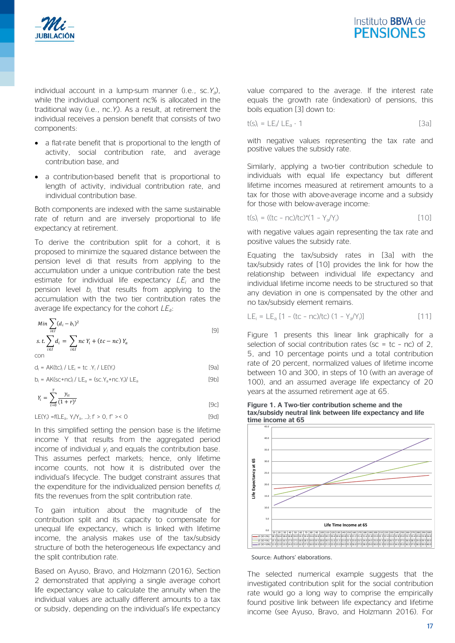



individual account in a lump-sum manner (i.e., sc.*Ya*), while the individual component nc% is allocated in the traditional way (i.e., nc.*Yi* ). As a result, at retirement the individual receives a pension benefit that consists of two components:

- a flat-rate benefit that is proportional to the length of activity, social contribution rate, and average contribution base, and
- a contribution-based benefit that is proportional to length of activity, individual contribution rate, and individual contribution base.

Both components are indexed with the same sustainable rate of return and are inversely proportional to life expectancy at retirement.

To derive the contribution split for a cohort, it is proposed to minimize the squared distance between the pension level di that results from applying to the accumulation under a unique contribution rate the best estimate for individual life expectancy *LEi* and the pension level *bi* that results from applying to the accumulation with the two tier contribution rates the average life expectancy for the cohort *LEa*:

Min 
$$
\sum_{i \in I} (d_i - b_i)^2
$$
  
s.t. 
$$
\sum_{i \in I} d_i = \sum_{i \in I} nc Y_i + (tc - nc) Y_a
$$
  
con

 $d_i = AK(tc)_i / LE_i = tc. Y_i / LE(Y_i)$  [9a]

$$
b_i = AK(sc+nc)_i / LE_a = (sc.Y_a+nc.Y_i) / LE_a
$$
 [9b]

$$
Y_i = \sum_{t=0}^{T} \frac{y_{it}}{(1+r)^t}
$$
 [9c]

 $LE(Y_i) = f(LE_a, Y_i / Y_a, ...)$ ;  $f' > 0$ ,  $f' > 0$ 

In this simplified setting the pension base is the lifetime income Y that results from the aggregated period income of individual *yi* and equals the contribution base. This assumes perfect markets; hence, only lifetime income counts, not how it is distributed over the individual's lifecycle. The budget constraint assures that the expenditure for the individualized pension benefits *di* fits the revenues from the split contribution rate.

To gain intuition about the magnitude of the contribution split and its capacity to compensate for unequal life expectancy, which is linked with lifetime income, the analysis makes use of the tax/subsidy structure of both the heterogeneous life expectancy and the split contribution rate.

Based on Ayuso, Bravo, and Holzmann (2016), Section 2 demonstrated that applying a single average cohort life expectancy value to calculate the annuity when the individual values are actually different amounts to a tax or subsidy, depending on the individual's life expectancy

value compared to the average. If the interest rate equals the growth rate (indexation) of pensions, this boils equation [3] down to:

$$
t(s)_{i} = LE_{i}/LE_{a} - 1
$$
 [3a]

with negative values representing the tax rate and positive values the subsidy rate.

Similarly, applying a two-tier contribution schedule to individuals with equal life expectancy but different lifetime incomes measured at retirement amounts to a tax for those with above-average income and a subsidy for those with below-average income:

$$
t(s)_{i} = ((tc - nc)/tc)^{*}(1 - Y_{a}/Y_{i})
$$
\n[10]

with negative values again representing the tax rate and positive values the subsidy rate.

Equating the tax/subsidy rates in [3a] with the tax/subsidy rates of [10] provides the link for how the relationship between individual life expectancy and individual lifetime income needs to be structured so that any deviation in one is compensated by the other and no tax/subsidy element remains.

$$
LE_i = LE_a [1 - (tc - nc)/(tc) (1 - Y_a/Y_i)]
$$
 [11]

[Figure 1](#page-16-0) presents this linear link graphically for a selection of social contribution rates (sc = tc - nc) of 2, 5, and 10 percentage points und a total contribution rate of 20 percent, normalized values of lifetime income between 10 and 300, in steps of 10 (with an average of 100), and an assumed average life expectancy of 20 years at the assumed retirement age at 65.



<span id="page-16-0"></span>**Figure 1. A Two-tier contribution scheme and the tax/subsidy neutral link between life expectancy and life** 

Source: Authors' elaborations.

The selected numerical example suggests that the investigated contribution split for the social contribution rate would go a long way to comprise the empirically found positive link between life expectancy and lifetime income (see Ayuso, Bravo, and Holzmann 2016). For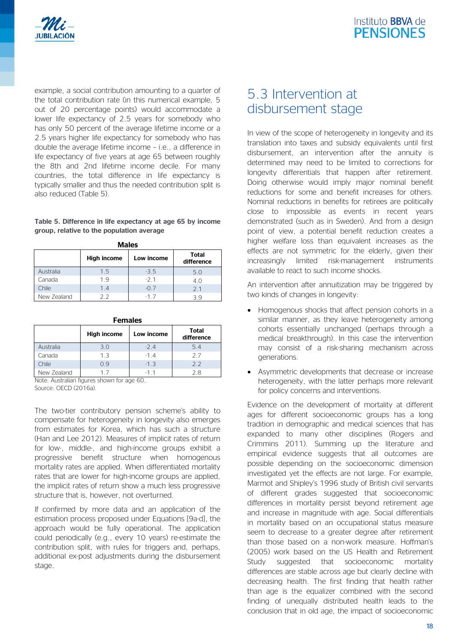

example, a social contribution amounting to a quarter of the total contribution rate (in this numerical example, 5 out of 20 percentage points) would accommodate a lower life expectancy of 2.5 years for somebody who has only 50 percent of the average lifetime income or a 2.5 years higher life expectancy for somebody who has double the average lifetime income – i.e., a difference in life expectancy of five years at age 65 between roughly the 8th and 2nd lifetime income decile. For many countries, the total difference in life expectancy is typically smaller and thus the needed contribution split is also reduced (Table 5).

#### **Table 5. Difference in life expectancy at age 65 by income group, relative to the population average**

|             | <b>High income</b> | Low income | Total<br>difference |  |  |
|-------------|--------------------|------------|---------------------|--|--|
| Australia   | 1.5                | $-3.5$     | 5.0                 |  |  |
| Canada      | 1.9                | $-2.1$     | 4.0                 |  |  |
| Chile       | 1.4                | $-0.7$     | 21                  |  |  |
| New Zealand | フフ                 | -17        | 3 Q                 |  |  |

**Males**

#### **Females**

|             | <b>High income</b> | Low income | Total<br>difference |
|-------------|--------------------|------------|---------------------|
| Australia   | 3.0                | $-24$      | 5.4                 |
| Canada      | 1.3                | $-14$      | 27                  |
| Chile       | 09                 | $-1.3$     | 2.2                 |
| New Zealand | 17                 | -11        | 2 R                 |

Note: Australian figures shown for age 60. Source: OECD (2016a).

The two-tier contributory pension scheme's ability to compensate for heterogeneity in longevity also emerges from estimates for Korea, which has such a structure (Han and Lee 2012). Measures of implicit rates of return for low-, middle-, and high-income groups exhibit a progressive benefit structure when homogenous mortality rates are applied. When differentiated mortality rates that are lower for high-income groups are applied, the implicit rates of return show a much less progressive structure that is, however, not overturned.

If confirmed by more data and an application of the estimation process proposed under Equations [9a-d], the approach would be fully operational. The application could periodically (e.g., every 10 years) re-estimate the contribution split, with rules for triggers and, perhaps, additional ex-post adjustments during the disbursement stage.

### 5.3 Intervention at disbursement stage

In view of the scope of heterogeneity in longevity and its translation into taxes and subsidy equivalents until first disbursement, an intervention after the annuity is determined may need to be limited to corrections for longevity differentials that happen after retirement. Doing otherwise would imply major nominal benefit reductions for some and benefit increases for others. Nominal reductions in benefits for retirees are politically close to impossible as events in recent years demonstrated (such as in Sweden). And from a design point of view, a potential benefit reduction creates a higher welfare loss than equivalent increases as the effects are not symmetric for the elderly, given their increasingly limited risk-management instruments available to react to such income shocks.

An intervention after annuitization may be triggered by two kinds of changes in longevity:

- Homogenous shocks that affect pension cohorts in a similar manner, as they leave heterogeneity among cohorts essentially unchanged (perhaps through a medical breakthrough). In this case the intervention may consist of a risk-sharing mechanism across generations.
- Asymmetric developments that decrease or increase heterogeneity, with the latter perhaps more relevant for policy concerns and interventions.

Evidence on the development of mortality at different ages for different socioeconomic groups has a long tradition in demographic and medical sciences that has expanded to many other disciplines (Rogers and Crimmins 2011). Summing up the literature and empirical evidence suggests that all outcomes are possible depending on the socioeconomic dimension investigated yet the effects are not large. For example, Marmot and Shipley's 1996 study of British civil servants of different grades suggested that socioeconomic differences in mortality persist beyond retirement age and increase in magnitude with age. Social differentials in mortality based on an occupational status measure seem to decrease to a greater degree after retirement than those based on a non-work measure. Hoffman's (2005) work based on the US Health and Retirement Study suggested that socioeconomic mortality differences are stable across age but clearly decline with decreasing health. The first finding that health rather than age is the equalizer combined with the second finding of unequally distributed health leads to the conclusion that in old age, the impact of socioeconomic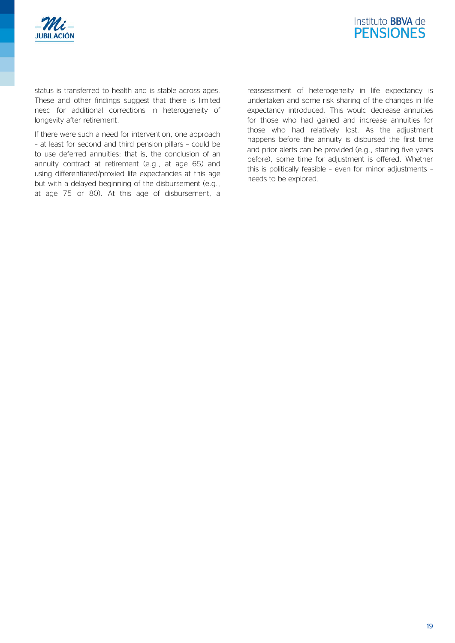



status is transferred to health and is stable across ages. These and other findings suggest that there is limited need for additional corrections in heterogeneity of longevity after retirement.

If there were such a need for intervention, one approach – at least for second and third pension pillars – could be to use deferred annuities: that is, the conclusion of an annuity contract at retirement (e.g., at age 65) and using differentiated/proxied life expectancies at this age but with a delayed beginning of the disbursement (e.g., at age 75 or 80). At this age of disbursement, a reassessment of heterogeneity in life expectancy is undertaken and some risk sharing of the changes in life expectancy introduced. This would decrease annuities for those who had gained and increase annuities for those who had relatively lost. As the adjustment happens before the annuity is disbursed the first time and prior alerts can be provided (e.g., starting five years before), some time for adjustment is offered. Whether this is politically feasible – even for minor adjustments – needs to be explored.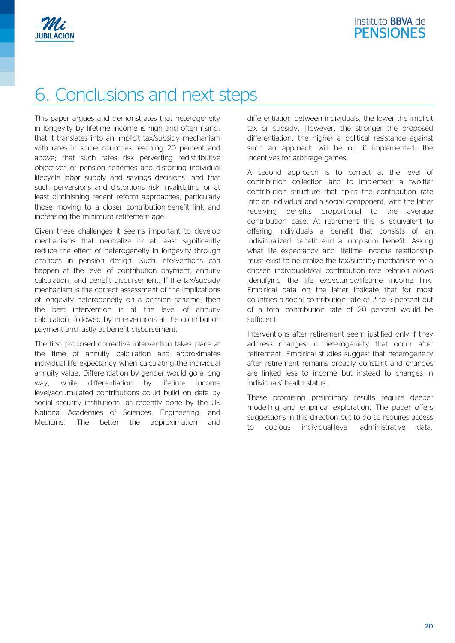

# 6. Conclusions and next steps

This paper argues and demonstrates that heterogeneity in longevity by lifetime income is high and often rising; that it translates into an implicit tax/subsidy mechanism with rates in some countries reaching 20 percent and above; that such rates risk perverting redistributive objectives of pension schemes and distorting individual lifecycle labor supply and savings decisions; and that such perversions and distortions risk invalidating or at least diminishing recent reform approaches, particularly those moving to a closer contribution-benefit link and increasing the minimum retirement age.

Given these challenges it seems important to develop mechanisms that neutralize or at least significantly reduce the effect of heterogeneity in longevity through changes in pension design. Such interventions can happen at the level of contribution payment, annuity calculation, and benefit disbursement. If the tax/subsidy mechanism is the correct assessment of the implications of longevity heterogeneity on a pension scheme, then the best intervention is at the level of annuity calculation, followed by interventions at the contribution payment and lastly at benefit disbursement.

The first proposed corrective intervention takes place at the time of annuity calculation and approximates individual life expectancy when calculating the individual annuity value. Differentiation by gender would go a long way, while differentiation by lifetime income level/accumulated contributions could build on data by social security institutions, as recently done by the US National Academies of Sciences, Engineering, and Medicine. The better the approximation and

differentiation between individuals, the lower the implicit tax or subsidy. However, the stronger the proposed differentiation, the higher a political resistance against such an approach will be or, if implemented, the incentives for arbitrage games.

A second approach is to correct at the level of contribution collection and to implement a two-tier contribution structure that splits the contribution rate into an individual and a social component, with the latter receiving benefits proportional to the average contribution base. At retirement this is equivalent to offering individuals a benefit that consists of an individualized benefit and a lump-sum benefit. Asking what life expectancy and lifetime income relationship must exist to neutralize the tax/subsidy mechanism for a chosen individual/total contribution rate relation allows identifying the life expectancy/lifetime income link. Empirical data on the latter indicate that for most countries a social contribution rate of 2 to 5 percent out of a total contribution rate of 20 percent would be sufficient.

Interventions after retirement seem justified only if they address changes in heterogeneity that occur after retirement. Empirical studies suggest that heterogeneity after retirement remains broadly constant and changes are linked less to income but instead to changes in individuals' health status.

These promising preliminary results require deeper modelling and empirical exploration. The paper offers suggestions in this direction but to do so requires access to copious individual-level administrative data.